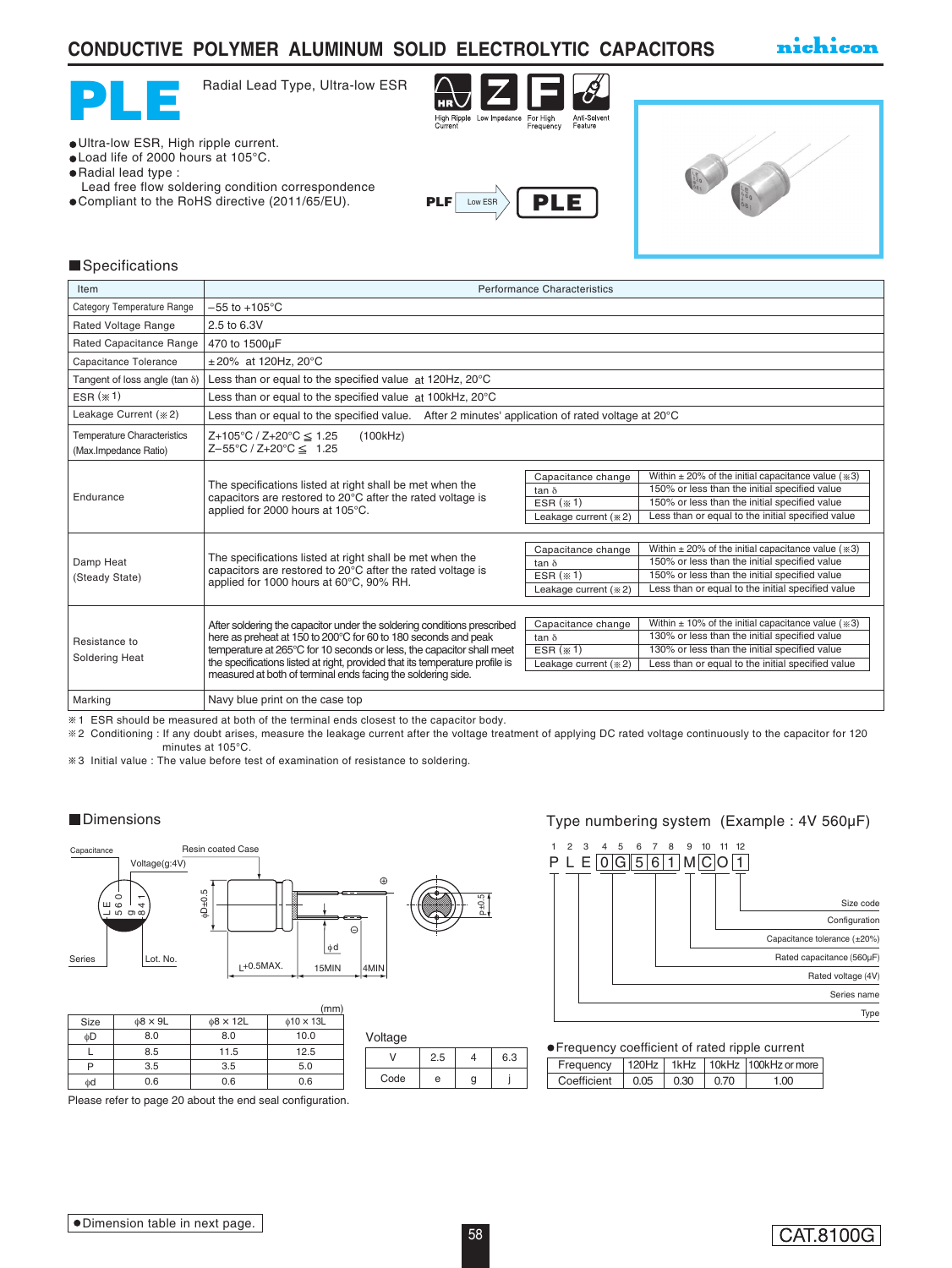## **CONDUCTIVE POLYMER ALUMINUM SOLID ELECTROLYTIC CAPACITORS**

nichicon



Radial Lead Type, Ultra-low ESR



Ultra-low ESR, High ripple current.

- Load life of 2000 hours at 105°C.
- Radial lead type :
- Lead free flow soldering condition correspondence
- Compliant to the RoHS directive (2011/65/EU).





### **Specifications**

| Item                                                        | Performance Characteristics                                                                                                                                                                                                                                                                                                                                        |                                                                              |                                                                                                                                                                                                                         |  |  |  |
|-------------------------------------------------------------|--------------------------------------------------------------------------------------------------------------------------------------------------------------------------------------------------------------------------------------------------------------------------------------------------------------------------------------------------------------------|------------------------------------------------------------------------------|-------------------------------------------------------------------------------------------------------------------------------------------------------------------------------------------------------------------------|--|--|--|
| Category Temperature Range                                  | $-55$ to $+105^{\circ}$ C                                                                                                                                                                                                                                                                                                                                          |                                                                              |                                                                                                                                                                                                                         |  |  |  |
| Rated Voltage Range                                         | 2.5 to 6.3V                                                                                                                                                                                                                                                                                                                                                        |                                                                              |                                                                                                                                                                                                                         |  |  |  |
| Rated Capacitance Range                                     | 470 to 1500µF                                                                                                                                                                                                                                                                                                                                                      |                                                                              |                                                                                                                                                                                                                         |  |  |  |
| Capacitance Tolerance                                       | $±20\%$ at 120Hz, 20 $°C$                                                                                                                                                                                                                                                                                                                                          |                                                                              |                                                                                                                                                                                                                         |  |  |  |
| Tangent of loss angle (tan $\delta$ )                       | Less than or equal to the specified value at 120Hz, 20°C                                                                                                                                                                                                                                                                                                           |                                                                              |                                                                                                                                                                                                                         |  |  |  |
| ESR $(* 1)$                                                 | Less than or equal to the specified value at 100kHz, 20°C                                                                                                                                                                                                                                                                                                          |                                                                              |                                                                                                                                                                                                                         |  |  |  |
| Leakage Current (* 2)                                       | Less than or equal to the specified value. After 2 minutes' application of rated voltage at $20^{\circ}$ C                                                                                                                                                                                                                                                         |                                                                              |                                                                                                                                                                                                                         |  |  |  |
| <b>Temperature Characteristics</b><br>(Max.Impedance Ratio) | $Z+105^{\circ}C / Z+20^{\circ}C \leq 1.25$<br>(100kHz)<br>$Z - 55^{\circ}C / Z + 20^{\circ}C \leq 1.25$                                                                                                                                                                                                                                                            |                                                                              |                                                                                                                                                                                                                         |  |  |  |
| Endurance                                                   | The specifications listed at right shall be met when the<br>capacitors are restored to 20°C after the rated voltage is<br>applied for 2000 hours at 105°C.                                                                                                                                                                                                         | Capacitance change<br>tan $\delta$<br>$ESR$ $(* 1)$<br>Leakage current (* 2) | Within $\pm$ 20% of the initial capacitance value ( $\gg$ 3)<br>150% or less than the initial specified value<br>150% or less than the initial specified value<br>Less than or equal to the initial specified value     |  |  |  |
| Damp Heat<br>(Steady State)                                 | The specifications listed at right shall be met when the<br>capacitors are restored to 20°C after the rated voltage is<br>applied for 1000 hours at 60°C, 90% RH.                                                                                                                                                                                                  | Capacitance change<br>tan $\delta$<br>ESR $(* 1)$<br>Leakage current (* 2)   | Within $\pm$ 20% of the initial capacitance value ( $\gg$ 3)<br>150% or less than the initial specified value<br>150% or less than the initial specified value<br>Less than or equal to the initial specified value     |  |  |  |
| Resistance to<br>Soldering Heat                             | After soldering the capacitor under the soldering conditions prescribed<br>here as preheat at 150 to 200°C for 60 to 180 seconds and peak<br>temperature at 265°C for 10 seconds or less, the capacitor shall meet<br>the specifications listed at right, provided that its temperature profile is<br>measured at both of terminal ends facing the soldering side. | Capacitance change<br>tan $\delta$<br>ESR $(*1)$<br>Leakage current (* 2)    | Within $\pm$ 10% of the initial capacitance value ( $\approx$ 3)<br>130% or less than the initial specified value<br>130% or less than the initial specified value<br>Less than or equal to the initial specified value |  |  |  |
| Marking                                                     | Navy blue print on the case top                                                                                                                                                                                                                                                                                                                                    |                                                                              |                                                                                                                                                                                                                         |  |  |  |

1 ESR should be measured at both of the terminal ends closest to the capacitor body.

2 Conditioning : If any doubt arises, measure the leakage current after the voltage treatment of applying DC rated voltage continuously to the capacitor for 120 minutes at 105°C.

3 Initial value : The value before test of examination of resistance to soldering.



|      |               |                | (mm)                   |
|------|---------------|----------------|------------------------|
| Size | $\phi$ 8 × 9L | $\phi$ 8 × 12L | $\phi$ 10 $\times$ 13L |
| фD   | 8.0           | 8.0            | 10.0                   |
|      | 8.5           | 11.5           | 12.5                   |
| P    | 3.5           | 3.5            | 5.0                    |
| фd   | 0.6           | 0.6            | 0.6                    |

Please refer to page 20 about the end seal configuration.

■Dimensions **■**Dimensions **Type numbering system (Example : 4V 560µF)** 



| • Frequency coefficient of rated ripple current    |  |  |                                                   |      |  |  |
|----------------------------------------------------|--|--|---------------------------------------------------|------|--|--|
|                                                    |  |  | Frequency   120Hz   1kHz   10kHz   100kHz or more |      |  |  |
| Coefficient $\vert$ 0.05 $\vert$ 0.30 $\vert$ 0.70 |  |  |                                                   | 1.00 |  |  |

 $V$  2.5 4 6.3  $Code \mid e \mid g \mid j$ 

Voltage